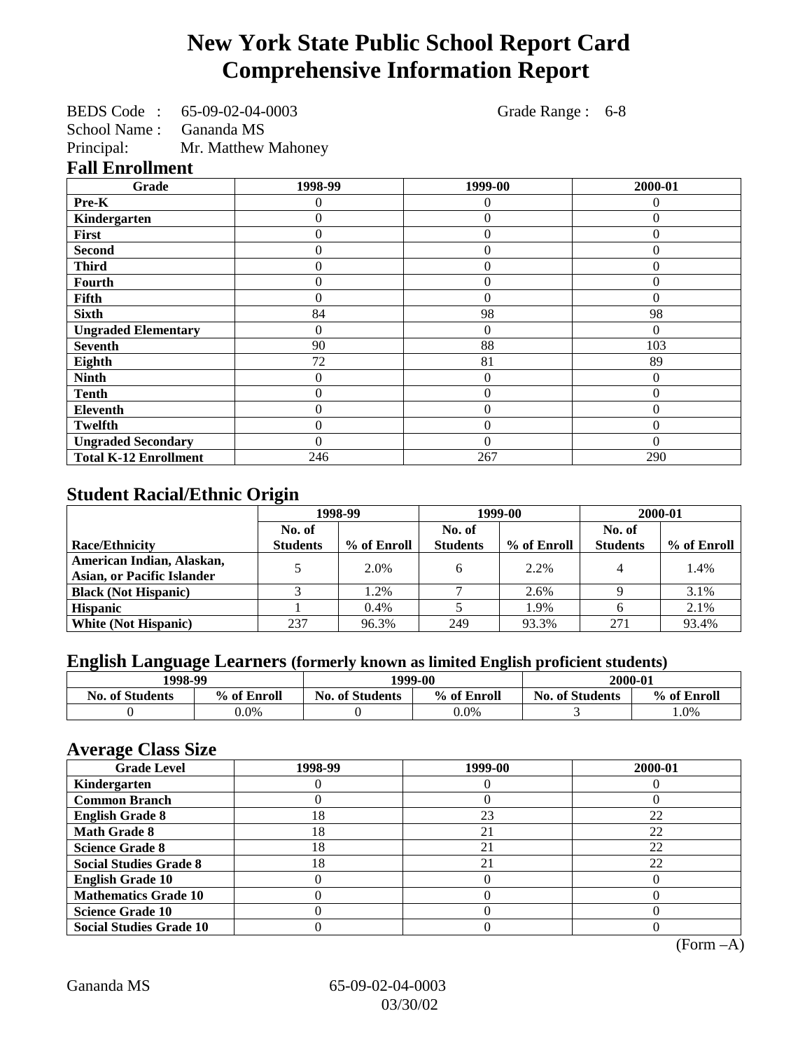# **New York State Public School Report Card Comprehensive Information Report**

| <b>BEDS</b> Code | 65-09-02-04-0003       |
|------------------|------------------------|
| $C - 1 = -1 N$   | $C_{\text{max}}$ 1. MO |

School Name : Gananda MS Principal: Mr. Matthew Mahoney Grade Range : 6-8

#### **Fall Enrollment**

| Grade                        | 1998-99 | 1999-00        | 2000-01      |
|------------------------------|---------|----------------|--------------|
| Pre-K                        | 0       | $\theta$       | 0            |
| Kindergarten                 | 0       | $\theta$       | $\Omega$     |
| First                        | 0       | $\overline{0}$ | $\Omega$     |
| <b>Second</b>                | 0       | $\theta$       | $\Omega$     |
| <b>Third</b>                 | 0       | $\theta$       | $\Omega$     |
| Fourth                       | 0       | $\theta$       | $\theta$     |
| Fifth                        | 0       | $\theta$       | $\theta$     |
| <b>Sixth</b>                 | 84      | 98             | 98           |
| <b>Ungraded Elementary</b>   | 0       | $\theta$       | $\Omega$     |
| <b>Seventh</b>               | 90      | 88             | 103          |
| Eighth                       | 72      | 81             | 89           |
| <b>Ninth</b>                 | 0       | $\overline{0}$ | $\mathbf{0}$ |
| <b>Tenth</b>                 | 0       | $\overline{0}$ | $\theta$     |
| <b>Eleventh</b>              | 0       | $\overline{0}$ | $\mathbf{0}$ |
| <b>Twelfth</b>               | 0       | $\theta$       | $\theta$     |
| <b>Ungraded Secondary</b>    | 0       | $\theta$       | $\Omega$     |
| <b>Total K-12 Enrollment</b> | 246     | 267            | 290          |

### **Student Racial/Ethnic Origin**

|                                   | 1998-99         |             | 1999-00         |             | 2000-01         |             |
|-----------------------------------|-----------------|-------------|-----------------|-------------|-----------------|-------------|
|                                   | No. of          |             | No. of          |             | No. of          |             |
| <b>Race/Ethnicity</b>             | <b>Students</b> | % of Enroll | <b>Students</b> | % of Enroll | <b>Students</b> | % of Enroll |
| American Indian, Alaskan,         |                 | 2.0%        |                 | 2.2%        |                 | 1.4%        |
| <b>Asian, or Pacific Islander</b> |                 |             |                 |             |                 |             |
| <b>Black (Not Hispanic)</b>       |                 | 1.2%        |                 | 2.6%        |                 | 3.1%        |
| <b>Hispanic</b>                   |                 | 0.4%        |                 | 1.9%        |                 | 2.1%        |
| <b>White (Not Hispanic)</b>       | 237             | 96.3%       | 249             | 93.3%       | 271             | 93.4%       |

### **English Language Learners (formerly known as limited English proficient students)**

| 1998-99                |             | 2000-01<br>1999-00                    |         |                        |             |
|------------------------|-------------|---------------------------------------|---------|------------------------|-------------|
| <b>No. of Students</b> | % of Enroll | <b>No. of Students</b><br>% of Enroll |         | <b>No. of Students</b> | % of Enroll |
|                        | $0.0\%$     |                                       | $0.0\%$ |                        | $.0\%$      |

### **Average Class Size**

| <u>ਾ</u> ਰਾ<br><b>Grade Level</b> | 1998-99 | 1999-00 | 2000-01 |
|-----------------------------------|---------|---------|---------|
| Kindergarten                      |         |         |         |
| <b>Common Branch</b>              |         |         |         |
| <b>English Grade 8</b>            | 18      | 23      | 22      |
| <b>Math Grade 8</b>               | 18      | 21      | 22      |
| <b>Science Grade 8</b>            | 18      | 21      | 22      |
| <b>Social Studies Grade 8</b>     | 18      | 21      | 22      |
| <b>English Grade 10</b>           |         |         |         |
| <b>Mathematics Grade 10</b>       |         |         |         |
| <b>Science Grade 10</b>           |         |         |         |
| <b>Social Studies Grade 10</b>    |         |         |         |

(Form –A)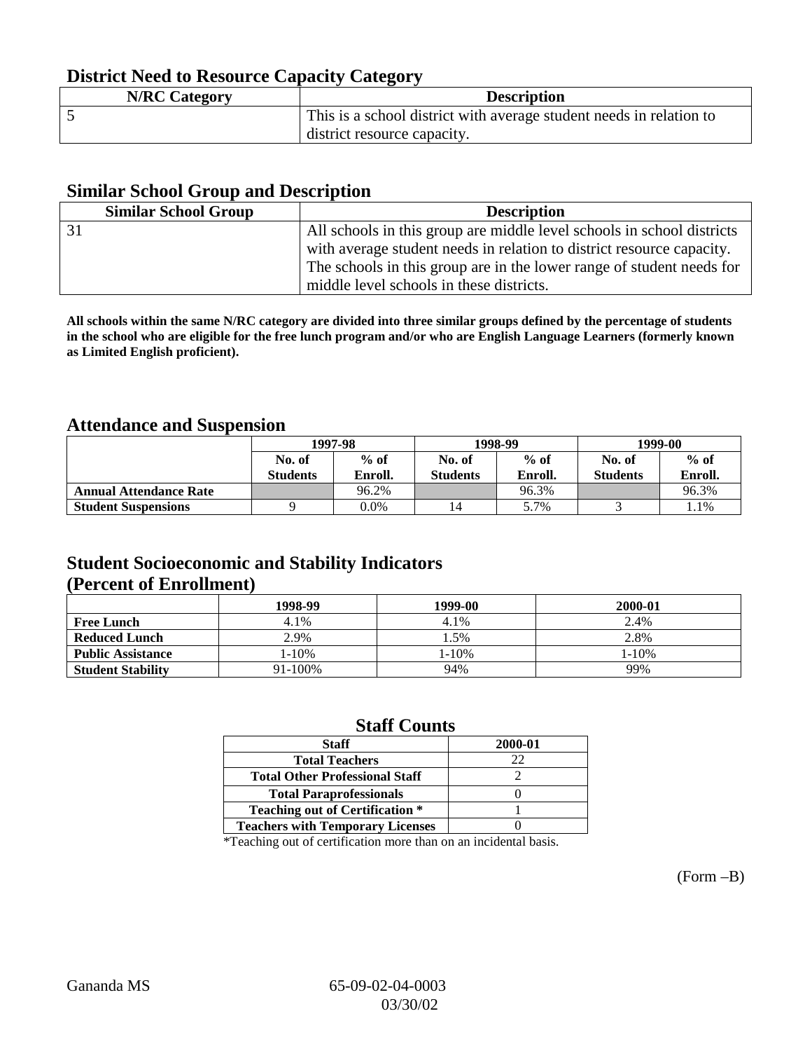## **District Need to Resource Capacity Category**

| <b>N/RC Category</b> | <b>Description</b>                                                  |
|----------------------|---------------------------------------------------------------------|
|                      | This is a school district with average student needs in relation to |
|                      | district resource capacity.                                         |

#### **Similar School Group and Description**

| <b>Similar School Group</b> | <b>Description</b>                                                     |
|-----------------------------|------------------------------------------------------------------------|
|                             | All schools in this group are middle level schools in school districts |
|                             | with average student needs in relation to district resource capacity.  |
|                             | The schools in this group are in the lower range of student needs for  |
|                             | middle level schools in these districts.                               |

**All schools within the same N/RC category are divided into three similar groups defined by the percentage of students in the school who are eligible for the free lunch program and/or who are English Language Learners (formerly known as Limited English proficient).**

#### **Attendance and Suspension**

|                               | 1997-98         |         |                 | 1998-99 | 1999-00         |         |
|-------------------------------|-----------------|---------|-----------------|---------|-----------------|---------|
|                               | No. of          | $%$ of  | No. of          | $%$ of  | No. of          | $%$ of  |
|                               | <b>Students</b> | Enroll. | <b>Students</b> | Enroll. | <b>Students</b> | Enroll. |
| <b>Annual Attendance Rate</b> |                 | 96.2%   |                 | 96.3%   |                 | 96.3%   |
| <b>Student Suspensions</b>    |                 | $0.0\%$ |                 | 5.7%    |                 | 1.1%    |

#### **Student Socioeconomic and Stability Indicators (Percent of Enrollment)**

|                          | 1998-99    | 1999-00 | 2000-01 |
|--------------------------|------------|---------|---------|
| <b>Free Lunch</b>        | 4.1%       | 4.1%    | 2.4%    |
| <b>Reduced Lunch</b>     | 2.9%       | 1.5%    | 2.8%    |
| <b>Public Assistance</b> | $1 - 10\%$ | l-10%   | 1-10%   |
| <b>Student Stability</b> | 91-100%    | 94%     | 99%     |

#### **Staff Counts**

| <b>Staff</b>                            | 2000-01 |
|-----------------------------------------|---------|
| <b>Total Teachers</b>                   | 22      |
| <b>Total Other Professional Staff</b>   |         |
| <b>Total Paraprofessionals</b>          |         |
| <b>Teaching out of Certification *</b>  |         |
| <b>Teachers with Temporary Licenses</b> |         |
|                                         |         |

\*Teaching out of certification more than on an incidental basis.

(Form –B)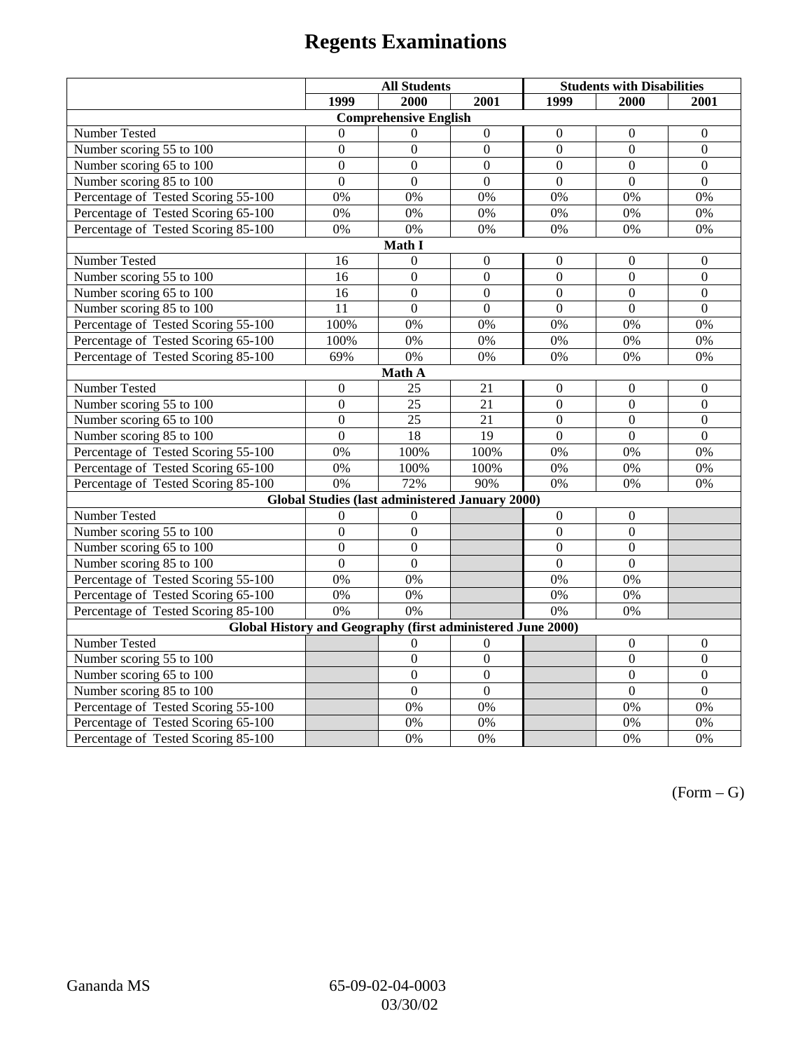# **Regents Examinations**

|                                                             | <b>All Students</b> |                                                        |                  | <b>Students with Disabilities</b> |                  |                  |  |
|-------------------------------------------------------------|---------------------|--------------------------------------------------------|------------------|-----------------------------------|------------------|------------------|--|
|                                                             | 1999                | 2000                                                   | 2001             | 1999                              | 2000             | 2001             |  |
|                                                             |                     | <b>Comprehensive English</b>                           |                  |                                   |                  |                  |  |
| Number Tested                                               | $\theta$            | $\Omega$                                               | $\boldsymbol{0}$ | $\boldsymbol{0}$                  | $\boldsymbol{0}$ | $\mathbf{0}$     |  |
| Number scoring 55 to 100                                    | $\boldsymbol{0}$    | $\boldsymbol{0}$                                       | $\mathbf{0}$     | $\boldsymbol{0}$                  | $\boldsymbol{0}$ | $\mathbf{0}$     |  |
| Number scoring 65 to 100                                    | $\overline{0}$      | $\overline{0}$                                         | $\overline{0}$   | $\overline{0}$                    | $\overline{0}$   | $\mathbf{0}$     |  |
| Number scoring 85 to 100                                    | $\overline{0}$      | $\overline{0}$                                         | $\overline{0}$   | $\overline{0}$                    | $\overline{0}$   | $\overline{0}$   |  |
| Percentage of Tested Scoring 55-100                         | 0%                  | 0%                                                     | 0%               | 0%                                | 0%               | 0%               |  |
| Percentage of Tested Scoring 65-100                         | 0%                  | 0%                                                     | 0%               | 0%                                | 0%               | 0%               |  |
| Percentage of Tested Scoring 85-100                         | 0%                  | 0%                                                     | 0%               | 0%                                | 0%               | 0%               |  |
|                                                             |                     | Math I                                                 |                  |                                   |                  |                  |  |
| <b>Number Tested</b>                                        | 16                  | $\boldsymbol{0}$                                       | $\boldsymbol{0}$ | $\boldsymbol{0}$                  | $\boldsymbol{0}$ | $\boldsymbol{0}$ |  |
| Number scoring 55 to 100                                    | 16                  | $\boldsymbol{0}$                                       | $\overline{0}$   | $\overline{0}$                    | $\overline{0}$   | $\mathbf{0}$     |  |
| Number scoring 65 to 100                                    | 16                  | $\mathbf{0}$                                           | $\mathbf{0}$     | $\overline{0}$                    | $\overline{0}$   | $\mathbf{0}$     |  |
| Number scoring 85 to 100                                    | $\overline{11}$     | $\overline{0}$                                         | $\overline{0}$   | $\overline{0}$                    | $\overline{0}$   | $\overline{0}$   |  |
| Percentage of Tested Scoring 55-100                         | 100%                | 0%                                                     | 0%               | 0%                                | 0%               | 0%               |  |
| Percentage of Tested Scoring 65-100                         | 100%                | 0%                                                     | 0%               | 0%                                | 0%               | 0%               |  |
| Percentage of Tested Scoring 85-100                         | 69%                 | 0%                                                     | 0%               | 0%                                | 0%               | 0%               |  |
|                                                             |                     | Math A                                                 |                  |                                   |                  |                  |  |
| Number Tested                                               | $\boldsymbol{0}$    | 25                                                     | 21               | $\boldsymbol{0}$                  | $\boldsymbol{0}$ | $\boldsymbol{0}$ |  |
| Number scoring 55 to 100                                    | $\boldsymbol{0}$    | 25                                                     | 21               | $\overline{0}$                    | $\overline{0}$   | $\boldsymbol{0}$ |  |
| Number scoring 65 to 100                                    | $\mathbf{0}$        | 25                                                     | 21               | $\mathbf{0}$                      | $\boldsymbol{0}$ | $\boldsymbol{0}$ |  |
| Number scoring 85 to 100                                    | $\mathbf{0}$        | $\overline{18}$                                        | 19               | $\overline{0}$                    | $\overline{0}$   | $\mathbf{0}$     |  |
| Percentage of Tested Scoring 55-100                         | 0%                  | 100%                                                   | 100%             | 0%                                | 0%               | 0%               |  |
| Percentage of Tested Scoring 65-100                         | 0%                  | 100%                                                   | 100%             | 0%                                | 0%               | 0%               |  |
| Percentage of Tested Scoring 85-100                         | 0%                  | 72%                                                    | 90%              | 0%                                | 0%               | 0%               |  |
|                                                             |                     | <b>Global Studies (last administered January 2000)</b> |                  |                                   |                  |                  |  |
| Number Tested                                               | $\theta$            | $\mathbf{0}$                                           |                  | $\overline{0}$                    | $\mathbf{0}$     |                  |  |
| Number scoring 55 to 100                                    | $\overline{0}$      | $\boldsymbol{0}$                                       |                  | $\overline{0}$                    | $\overline{0}$   |                  |  |
| Number scoring 65 to 100                                    | $\mathbf{0}$        | $\mathbf{0}$                                           |                  | $\overline{0}$                    | $\mathbf{0}$     |                  |  |
| Number scoring 85 to 100                                    | $\overline{0}$      | $\overline{0}$                                         |                  | $\overline{0}$                    | $\mathbf{0}$     |                  |  |
| Percentage of Tested Scoring 55-100                         | 0%                  | 0%                                                     |                  | 0%                                | 0%               |                  |  |
| Percentage of Tested Scoring 65-100                         | 0%                  | 0%                                                     |                  | 0%                                | 0%               |                  |  |
| Percentage of Tested Scoring 85-100                         | 0%                  | $\overline{0\%}$                                       |                  | 0%                                | 0%               |                  |  |
| Global History and Geography (first administered June 2000) |                     |                                                        |                  |                                   |                  |                  |  |
| Number Tested                                               |                     | $\theta$                                               | 0                |                                   | $\mathbf{0}$     | $\mathbf{0}$     |  |
| Number scoring 55 to 100                                    |                     | $\boldsymbol{0}$                                       | $\overline{0}$   |                                   | $\overline{0}$   | $\boldsymbol{0}$ |  |
| Number scoring 65 to 100                                    |                     | $\overline{0}$                                         | $\overline{0}$   |                                   | $\overline{0}$   | $\boldsymbol{0}$ |  |
| Number scoring 85 to 100                                    |                     | $\mathbf{0}$                                           | $\overline{0}$   |                                   | $\overline{0}$   | $\overline{0}$   |  |
| Percentage of Tested Scoring 55-100                         |                     | 0%                                                     | 0%               |                                   | 0%               | 0%               |  |
| Percentage of Tested Scoring 65-100                         |                     | 0%                                                     | 0%               |                                   | 0%               | 0%               |  |
| Percentage of Tested Scoring 85-100                         |                     | 0%                                                     | 0%               |                                   | 0%               | 0%               |  |

 $(Form - G)$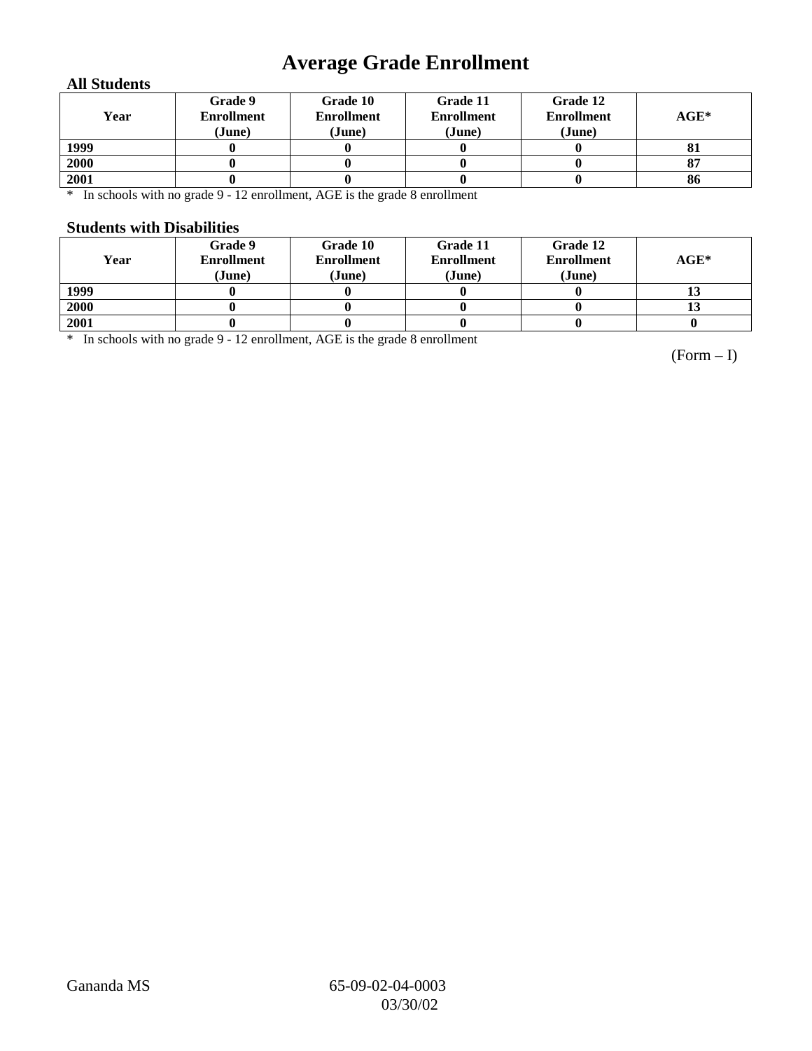## **Average Grade Enrollment**

#### **All Students**

| Year | Grade 9<br><b>Enrollment</b><br>(June) | Grade 10<br><b>Enrollment</b><br>(June) | Grade 11<br><b>Enrollment</b><br>(June) | Grade 12<br><b>Enrollment</b><br>(June) | $AGE^*$ |
|------|----------------------------------------|-----------------------------------------|-----------------------------------------|-----------------------------------------|---------|
| 1999 |                                        |                                         |                                         |                                         | 81      |
| 2000 |                                        |                                         |                                         |                                         | 87      |
| 2001 |                                        |                                         |                                         |                                         | 86      |

\* In schools with no grade 9 - 12 enrollment, AGE is the grade 8 enrollment

#### **Students with Disabilities**

| Year | Grade 9<br><b>Enrollment</b><br>(June) | Grade 10<br><b>Enrollment</b><br>(June) | Grade 11<br><b>Enrollment</b><br>(June) | Grade 12<br><b>Enrollment</b><br>(June) | $AGE^*$ |
|------|----------------------------------------|-----------------------------------------|-----------------------------------------|-----------------------------------------|---------|
| 1999 |                                        |                                         |                                         |                                         |         |
| 2000 |                                        |                                         |                                         |                                         | 13      |
| 2001 |                                        |                                         |                                         |                                         |         |

\* In schools with no grade 9 - 12 enrollment, AGE is the grade 8 enrollment

(Form – I)